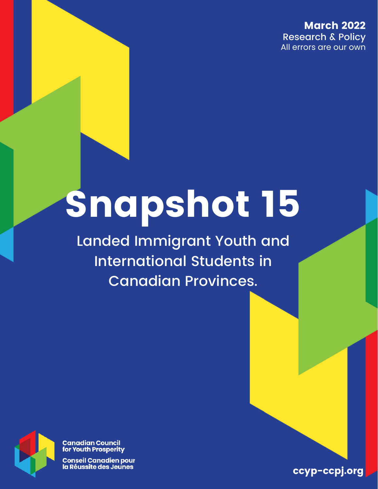March 2022 Research & Policy All errors are our own

# Snapshot 15

Landed Immigrant Youth and International Students in Canadian Provinces.



**Canadian Council** for Youth Prosperity

**Conseil Canadien pour** la Réussite des Jeunes

ccyp-ccpj.org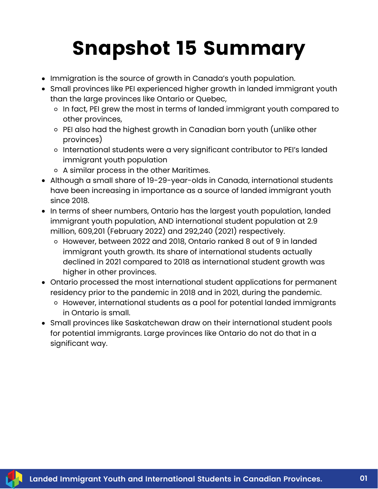## Snapshot 15 Summary

- Immigration is the source of growth in Canada's youth population.
- Small provinces like PEI experienced higher growth in landed immigrant youth than the large provinces like Ontario or Quebec,
	- o In fact, PEI grew the most in terms of landed immigrant youth compared to other provinces,
	- PEI also had the highest growth in Canadian born youth (unlike other provinces)
	- o International students were a very significant contributor to PEI's landed immigrant youth population
	- A similar process in the other Maritimes.
- Although a small share of 19-29-year-olds in Canada, international students have been increasing in importance as a source of landed immigrant youth since 2018.
- In terms of sheer numbers, Ontario has the largest youth population, landed immigrant youth population, AND international student population at 2.9 million, 609,201 (February 2022) and 292,240 (2021) respectively.
	- However, between 2022 and 2018, Ontario ranked 8 out of 9 in landed immigrant youth growth. Its share of international students actually declined in 2021 compared to 2018 as international student growth was higher in other provinces.
- Ontario processed the most international student applications for permanent residency prior to the pandemic in 2018 and in 2021, during the pandemic.
	- However, international students as a pool for potential landed immigrants in Ontario is small.
- Small provinces like Saskatchewan draw on their international student pools for potential immigrants. Large provinces like Ontario do not do that in a significant way.

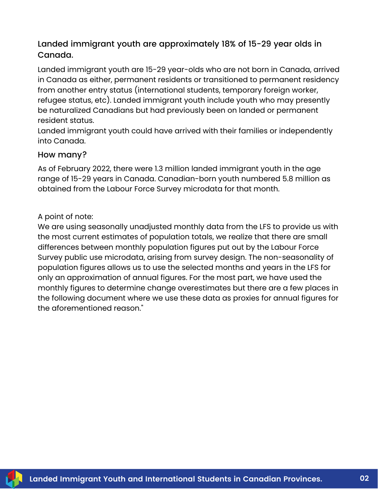#### Landed immigrant youth are approximately 18% of 15-29 year olds in Canada.

Landed immigrant youth are 15-29 year-olds who are not born in Canada, arrived in Canada as either, permanent residents or transitioned to permanent residency from another entry status (international students, temporary foreign worker, refugee status, etc). Landed immigrant youth include youth who may presently be [naturalized](https://www.canada.ca/en/services/immigration-citizenship/helpcentre/glossary.html#naturalization) Canadians but had previously been on landed or permanent resident status.

Landed immigrant youth could have arrived with their families or independently into Canada.

#### How many?

As of February 2022, there were 1.3 million landed immigrant youth in the age range of 15-29 years in Canada. Canadian-born youth numbered 5.8 million as obtained from the Labour Force Survey microdata for that month.

#### A point of note:

We are using seasonally unadjusted monthly data from the LFS to provide us with the most current estimates of population totals, we realize that there are small differences between monthly population figures put out by the Labour Force Survey public use microdata, arising from survey design. The non-seasonality of population figures allows us to use the selected months and years in the LFS for only an approximation of annual figures. For the most part, we have used the monthly figures to determine change overestimates but there are a few places in the following document where we use these data as proxies for annual figures for the aforementioned reason."

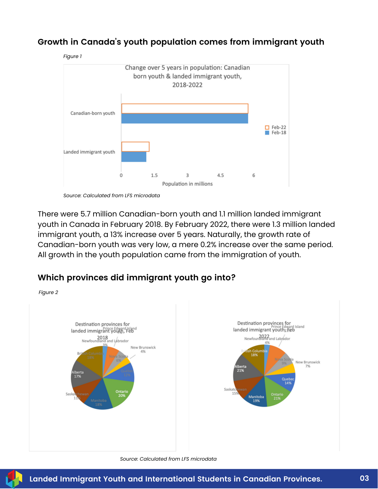

#### **Growth in Canada's youth population comes from immigrant youth**

*Source: Calculated from LFS microdata*

There were 5.7 million Canadian-born youth and 1.1 million landed immigrant youth in Canada in February 2018. By February 2022, there were 1.3 million landed immigrant youth, a 13% increase over 5 years. Naturally, the growth rate of Canadian-born youth was very low, a mere 0.2% increase over the same period. All growth in the youth population came from the immigration of youth.

#### **Which provinces did immigrant youth go into?**

*Figure 2*



#### *Source: Calculated from LFS microdata*

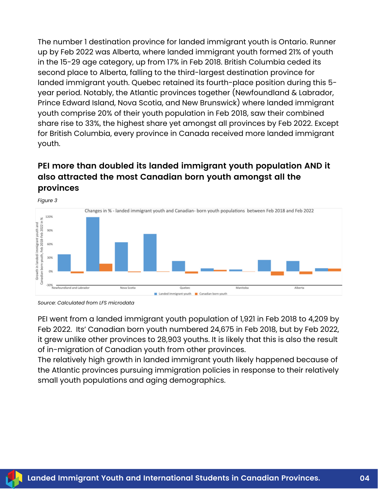The number 1 destination province for landed immigrant youth is Ontario. Runner up by Feb 2022 was Alberta, where landed immigrant youth formed 21% of youth in the 15-29 age category, up from 17% in Feb 2018. British Columbia ceded its second place to Alberta, falling to the third-largest destination province for landed immigrant youth. Quebec retained its fourth-place position during this 5 year period. Notably, the Atlantic provinces together (Newfoundland & Labrador, Prince Edward Island, Nova Scotia, and New Brunswick) where landed immigrant youth comprise 20% of their youth population in Feb 2018, saw their combined share rise to 33%, the highest share yet amongst all provinces by Feb 2022. Except for British Columbia, every province in Canada received more landed immigrant youth.

### **PEI more than doubled its landed immigrant youth population AND it also attracted the most Canadian born youth amongst all the provinces**



*Source: Calculated from LFS microdata*

PEI went from a landed immigrant youth population of 1,921 in Feb 2018 to 4,209 by Feb 2022. Its' Canadian born youth numbered 24,675 in Feb 2018, but by Feb 2022, it grew unlike other provinces to 28,903 youths. It is likely that this is also the result of in-migration of Canadian youth from other provinces.

The relatively high growth in landed immigrant youth likely happened because of the Atlantic provinces pursuing immigration policies in response to their relatively small youth populations and aging demographics.

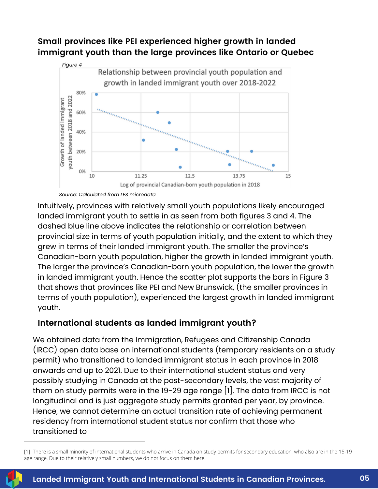#### **Small provinces like PEI experienced higher growth in landed immigrant youth than the large provinces like Ontario or Quebec**



*Source: Calculated from LFS microdata*

Intuitively, provinces with relatively small youth populations likely encouraged landed immigrant youth to settle in as seen from both figures 3 and 4. The dashed blue line above indicates the relationship or correlation between provincial size in terms of youth population initially, and the extent to which they grew in terms of their landed immigrant youth. The smaller the province's Canadian-born youth population, higher the growth in landed immigrant youth. The larger the province's Canadian-born youth population, the lower the growth in landed immigrant youth. Hence the scatter plot supports the bars in Figure 3 that shows that provinces like PEI and New Brunswick, (the smaller provinces in terms of youth population), experienced the largest growth in landed immigrant youth.

#### **International students as landed immigrant youth?**

We obtained data from the Immigration, Refugees and Citizenship Canada (IRCC) open data base on international students (temporary residents on a study permit) who transitioned to landed immigrant status in each province in 2018 onwards and up to 2021. Due to their international student status and very possibly studying in Canada at the post-secondary levels, the vast majority of them on study permits were in the 19-29 age range [1]. The data from IRCC is not longitudinal and is just aggregate study permits granted per year, by province. Hence, we cannot determine an actual transition rate of achieving permanent residency from international student status nor confirm that those who transitioned to

<sup>[1]</sup> There is a small minority of international students who arrive in Canada on study permits for secondary education, who also are in the 15-19 age range. Due to their relatively small numbers, we do not focus on them here.

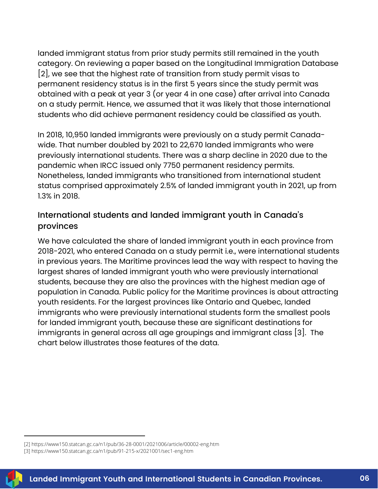landed immigrant status from prior study permits still remained in the youth category. On reviewing a paper based on the Longitudinal Immigration Database [2], we see that the highest rate of transition from study permit visas to permanent residency status is in the first 5 years since the study permit was obtained with a peak at year 3 (or year 4 in one case) after arrival into Canada on a study permit. Hence, we assumed that it was likely that those international students who did achieve permanent residency could be classified as youth.

In 2018, 10,950 landed immigrants were previously on a study permit Canadawide. That number doubled by 2021 to 22,670 landed immigrants who were previously international students. There was a sharp decline in 2020 due to the pandemic when IRCC issued only 7750 permanent residency permits. Nonetheless, landed immigrants who transitioned from international student status comprised approximately 2.5% of landed immigrant youth in 2021, up from 1.3% in 2018.

#### International students and landed immigrant youth in Canada's provinces

We have calculated the share of landed immigrant youth in each province from 2018-2021, who entered Canada on a study permit i.e., were international students in previous years. The Maritime provinces lead the way with respect to having the largest shares of landed immigrant youth who were previously international students, because they are also the provinces with the highest median age of population in Canada. Public policy for the Maritime provinces is about attracting youth residents. For the largest provinces like Ontario and Quebec, landed immigrants who were previously international students form the smallest pools for landed immigrant youth, because these are significant destinations for immigrants in general across all age groupings and immigrant class [3]. The chart below illustrates those features of the data.

<sup>[3]</sup><https://www150.statcan.gc.ca/n1/pub/91-215-x/2021001/sec1-eng.htm>



<sup>[2]</sup> https://www150.statcan.gc.ca/n1/pub/36-28-0001/2021006/article/00002-eng.htm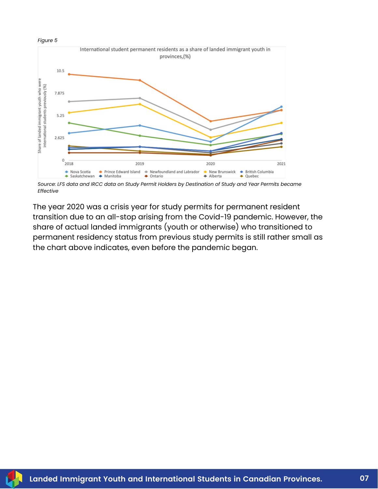



Source: LFS data and IRCC data on Study Permit Holders by Destination of Study and Year Permits became *Effective*

The year 2020 was a crisis year for study permits for permanent resident transition due to an all-stop arising from the Covid-19 pandemic. However, the share of actual landed immigrants (youth or otherwise) who transitioned to permanent residency status from previous study permits is still rather small as the chart above indicates, even before the pandemic began.

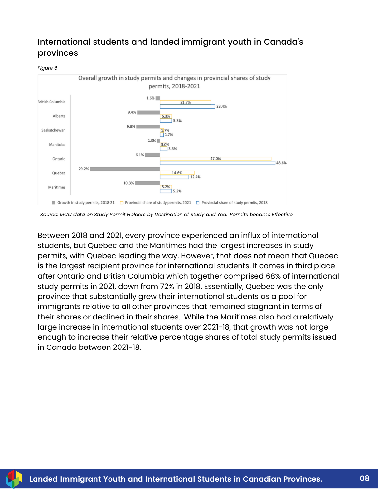#### International students and landed immigrant youth in Canada's provinces

*Figure 6*



*Source: IRCC data on Study Permit Holders by Destination of Study and Year Permits became Effective*

Between 2018 and 2021, every province experienced an influx of international students, but Quebec and the Maritimes had the largest increases in study permits, with Quebec leading the way. However, that does not mean that Quebec is the largest recipient province for international students. It comes in third place after Ontario and British Columbia which together comprised 68% of international study permits in 2021, down from 72% in 2018. Essentially, Quebec was the only province that substantially grew their international students as a pool for immigrants relative to all other provinces that remained stagnant in terms of their shares or declined in their shares. While the Maritimes also had a relatively large increase in international students over 2021-18, that growth was not large enough to increase their relative percentage shares of total study permits issued in Canada between 2021-18.

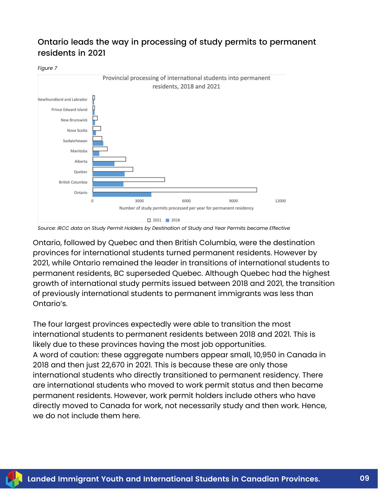#### Ontario leads the way in processing of study permits to permanent residents in 2021

*Figure 7*



*Source: IRCC data on Study Permit Holders by Destination of Study and Year Permits became Effective*

Ontario, followed by Quebec and then British Columbia, were the destination provinces for international students turned permanent residents. However by 2021, while Ontario remained the leader in transitions of international students to permanent residents, BC superseded Quebec. Although Quebec had the highest growth of international study permits issued between 2018 and 2021, the transition of previously international students to permanent immigrants was less than Ontario's.

The four largest provinces expectedly were able to transition the most international students to permanent residents between 2018 and 2021. This is likely due to these provinces having the most job opportunities. A word of caution: these aggregate numbers appear small, 10,950 in Canada in 2018 and then just 22,670 in 2021. This is because these are only those international students who directly transitioned to permanent residency. There are international students who moved to work permit status and then became permanent residents. However, work permit holders include others who have directly moved to Canada for work, not necessarily study and then work. Hence, we do not include them here.

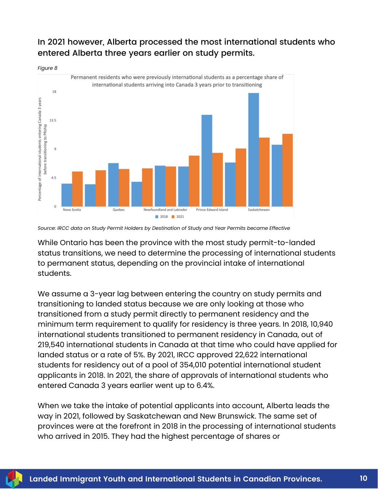#### In 2021 however, Alberta processed the most international students who entered Alberta three years earlier on study permits.



*Source: IRCC data on Study Permit Holders by Destination of Study and Year Permits became Effective*

While Ontario has been the province with the most study permit-to-landed status transitions, we need to determine the processing of international students to permanent status, depending on the provincial intake of international students.

We assume a 3-year lag between entering the country on study permits and transitioning to landed status because we are only looking at those who transitioned from a study permit directly to permanent residency and the minimum term requirement to qualify for residency is three years. In 2018, 10,940 international students transitioned to permanent residency in Canada, out of 219,540 international students in Canada at that time who could have applied for landed status or a rate of 5%. By 2021, IRCC approved 22,622 international students for residency out of a pool of 354,010 potential international student applicants in 2018. In 2021, the share of approvals of international students who entered Canada 3 years earlier went up to 6.4%.

When we take the intake of potential applicants into account, Alberta leads the way in 2021, followed by Saskatchewan and New Brunswick. The same set of provinces were at the forefront in 2018 in the processing of international students who arrived in 2015. They had the highest percentage of shares or